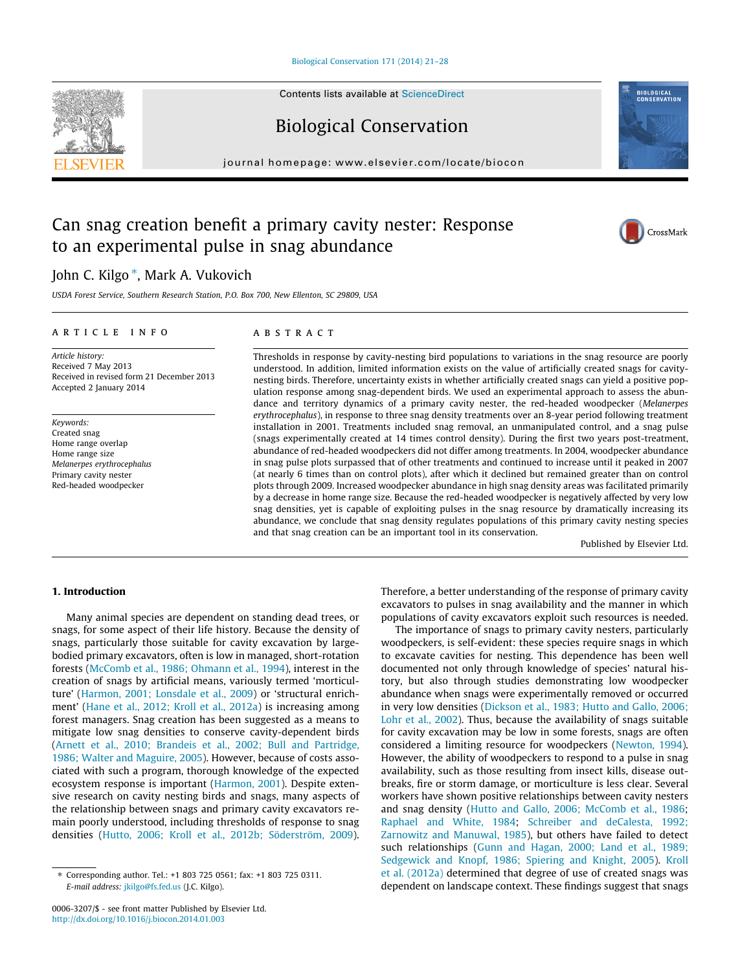[Biological Conservation 171 \(2014\) 21–28](http://dx.doi.org/10.1016/j.biocon.2014.01.003)

Contents lists available at [ScienceDirect](http://www.sciencedirect.com/science/journal/00063207)

Biological Conservation

journal homepage: [www.elsevier.com/locate/biocon](http://www.elsevier.com/locate/biocon)

# Can snag creation benefit a primary cavity nester: Response to an experimental pulse in snag abundance

## John C. Kilgo \*, Mark A. Vukovich

USDA Forest Service, Southern Research Station, P.O. Box 700, New Ellenton, SC 29809, USA

#### article info

Article history: Received 7 May 2013 Received in revised form 21 December 2013 Accepted 2 January 2014

Keywords: Created snag Home range overlap Home range size Melanerpes erythrocephalus Primary cavity nester Red-headed woodpecker

#### **ABSTRACT**

Thresholds in response by cavity-nesting bird populations to variations in the snag resource are poorly understood. In addition, limited information exists on the value of artificially created snags for cavitynesting birds. Therefore, uncertainty exists in whether artificially created snags can yield a positive population response among snag-dependent birds. We used an experimental approach to assess the abundance and territory dynamics of a primary cavity nester, the red-headed woodpecker (Melanerpes erythrocephalus), in response to three snag density treatments over an 8-year period following treatment installation in 2001. Treatments included snag removal, an unmanipulated control, and a snag pulse (snags experimentally created at 14 times control density). During the first two years post-treatment, abundance of red-headed woodpeckers did not differ among treatments. In 2004, woodpecker abundance in snag pulse plots surpassed that of other treatments and continued to increase until it peaked in 2007 (at nearly 6 times than on control plots), after which it declined but remained greater than on control plots through 2009. Increased woodpecker abundance in high snag density areas was facilitated primarily by a decrease in home range size. Because the red-headed woodpecker is negatively affected by very low snag densities, yet is capable of exploiting pulses in the snag resource by dramatically increasing its abundance, we conclude that snag density regulates populations of this primary cavity nesting species and that snag creation can be an important tool in its conservation.

Published by Elsevier Ltd.

### 1. Introduction

Many animal species are dependent on standing dead trees, or snags, for some aspect of their life history. Because the density of snags, particularly those suitable for cavity excavation by largebodied primary excavators, often is low in managed, short-rotation forests [\(McComb et al., 1986; Ohmann et al., 1994\)](#page-7-0), interest in the creation of snags by artificial means, variously termed 'morticulture' [\(Harmon, 2001; Lonsdale et al., 2009\)](#page-7-0) or 'structural enrichment' [\(Hane et al., 2012; Kroll et al., 2012a\)](#page-7-0) is increasing among forest managers. Snag creation has been suggested as a means to mitigate low snag densities to conserve cavity-dependent birds ([Arnett et al., 2010; Brandeis et al., 2002; Bull and Partridge,](#page-7-0) [1986; Walter and Maguire, 2005\)](#page-7-0). However, because of costs associated with such a program, thorough knowledge of the expected ecosystem response is important [\(Harmon, 2001\)](#page-7-0). Despite extensive research on cavity nesting birds and snags, many aspects of the relationship between snags and primary cavity excavators remain poorly understood, including thresholds of response to snag densities ([Hutto, 2006; Kroll et al., 2012b; Söderström, 2009\)](#page-7-0).

Therefore, a better understanding of the response of primary cavity excavators to pulses in snag availability and the manner in which populations of cavity excavators exploit such resources is needed.

The importance of snags to primary cavity nesters, particularly woodpeckers, is self-evident: these species require snags in which to excavate cavities for nesting. This dependence has been well documented not only through knowledge of species' natural history, but also through studies demonstrating low woodpecker abundance when snags were experimentally removed or occurred in very low densities [\(Dickson et al., 1983; Hutto and Gallo, 2006;](#page-7-0) [Lohr et al., 2002](#page-7-0)). Thus, because the availability of snags suitable for cavity excavation may be low in some forests, snags are often considered a limiting resource for woodpeckers [\(Newton, 1994\)](#page-7-0). However, the ability of woodpeckers to respond to a pulse in snag availability, such as those resulting from insect kills, disease outbreaks, fire or storm damage, or morticulture is less clear. Several workers have shown positive relationships between cavity nesters and snag density ([Hutto and Gallo, 2006; McComb et al., 1986;](#page-7-0) [Raphael and White, 1984](#page-7-0); [Schreiber and deCalesta, 1992;](#page-7-0) [Zarnowitz and Manuwal, 1985\)](#page-7-0), but others have failed to detect such relationships [\(Gunn and Hagan, 2000; Land et al., 1989;](#page-7-0) [Sedgewick and Knopf, 1986; Spiering and Knight, 2005\)](#page-7-0). [Kroll](#page-7-0) [et al. \(2012a\)](#page-7-0) determined that degree of use of created snags was dependent on landscape context. These findings suggest that snags







<sup>⇑</sup> Corresponding author. Tel.: +1 803 725 0561; fax: +1 803 725 0311. E-mail address: [jkilgo@fs.fed.us](mailto:jkilgo@fs.fed.us) (J.C. Kilgo).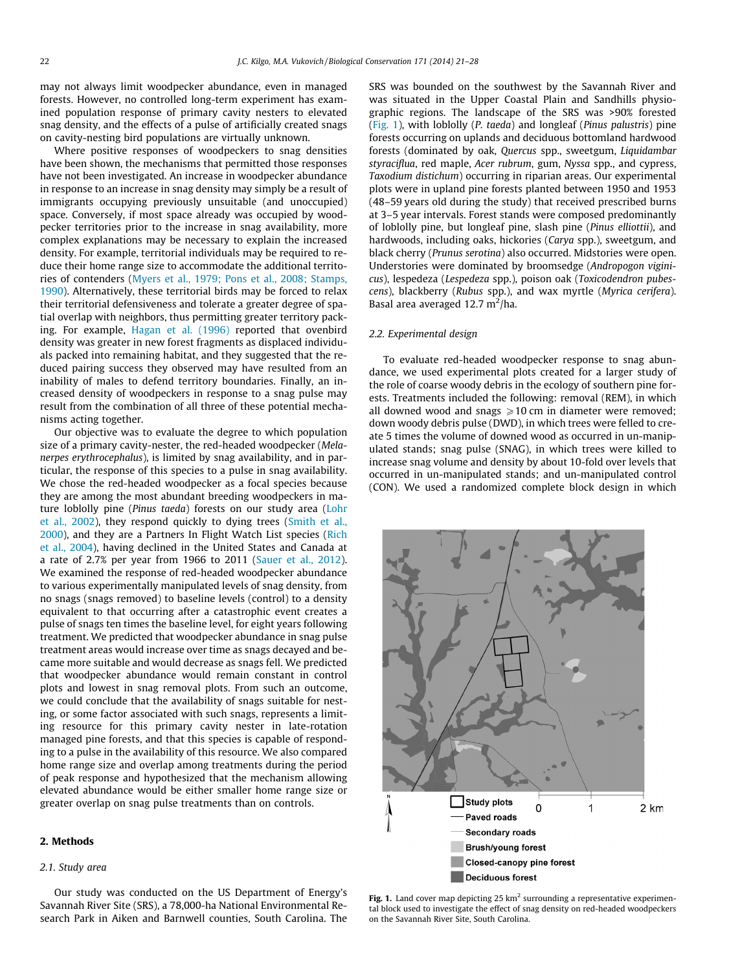may not always limit woodpecker abundance, even in managed forests. However, no controlled long-term experiment has examined population response of primary cavity nesters to elevated snag density, and the effects of a pulse of artificially created snags on cavity-nesting bird populations are virtually unknown.

Where positive responses of woodpeckers to snag densities have been shown, the mechanisms that permitted those responses have not been investigated. An increase in woodpecker abundance in response to an increase in snag density may simply be a result of immigrants occupying previously unsuitable (and unoccupied) space. Conversely, if most space already was occupied by woodpecker territories prior to the increase in snag availability, more complex explanations may be necessary to explain the increased density. For example, territorial individuals may be required to reduce their home range size to accommodate the additional territories of contenders [\(Myers et al., 1979; Pons et al., 2008; Stamps,](#page-7-0) [1990\)](#page-7-0). Alternatively, these territorial birds may be forced to relax their territorial defensiveness and tolerate a greater degree of spatial overlap with neighbors, thus permitting greater territory packing. For example, [Hagan et al. \(1996\)](#page-7-0) reported that ovenbird density was greater in new forest fragments as displaced individuals packed into remaining habitat, and they suggested that the reduced pairing success they observed may have resulted from an inability of males to defend territory boundaries. Finally, an increased density of woodpeckers in response to a snag pulse may result from the combination of all three of these potential mechanisms acting together.

Our objective was to evaluate the degree to which population size of a primary cavity-nester, the red-headed woodpecker (Melanerpes erythrocephalus), is limited by snag availability, and in particular, the response of this species to a pulse in snag availability. We chose the red-headed woodpecker as a focal species because they are among the most abundant breeding woodpeckers in mature loblolly pine (Pinus taeda) forests on our study area ([Lohr](#page-7-0) [et al., 2002](#page-7-0)), they respond quickly to dying trees ([Smith et al.,](#page-7-0) [2000\)](#page-7-0), and they are a Partners In Flight Watch List species [\(Rich](#page-7-0) [et al., 2004\)](#page-7-0), having declined in the United States and Canada at a rate of 2.7% per year from 1966 to 2011 ([Sauer et al., 2012\)](#page-7-0). We examined the response of red-headed woodpecker abundance to various experimentally manipulated levels of snag density, from no snags (snags removed) to baseline levels (control) to a density equivalent to that occurring after a catastrophic event creates a pulse of snags ten times the baseline level, for eight years following treatment. We predicted that woodpecker abundance in snag pulse treatment areas would increase over time as snags decayed and became more suitable and would decrease as snags fell. We predicted that woodpecker abundance would remain constant in control plots and lowest in snag removal plots. From such an outcome, we could conclude that the availability of snags suitable for nesting, or some factor associated with such snags, represents a limiting resource for this primary cavity nester in late-rotation managed pine forests, and that this species is capable of responding to a pulse in the availability of this resource. We also compared home range size and overlap among treatments during the period of peak response and hypothesized that the mechanism allowing elevated abundance would be either smaller home range size or greater overlap on snag pulse treatments than on controls.

#### 2. Methods

#### 2.1. Study area

Our study was conducted on the US Department of Energy's Savannah River Site (SRS), a 78,000-ha National Environmental Research Park in Aiken and Barnwell counties, South Carolina. The SRS was bounded on the southwest by the Savannah River and was situated in the Upper Coastal Plain and Sandhills physiographic regions. The landscape of the SRS was >90% forested (Fig. 1), with loblolly (P. taeda) and longleaf (Pinus palustris) pine forests occurring on uplands and deciduous bottomland hardwood forests (dominated by oak, Quercus spp., sweetgum, Liquidambar styraciflua, red maple, Acer rubrum, gum, Nyssa spp., and cypress, Taxodium distichum) occurring in riparian areas. Our experimental plots were in upland pine forests planted between 1950 and 1953 (48–59 years old during the study) that received prescribed burns at 3–5 year intervals. Forest stands were composed predominantly of loblolly pine, but longleaf pine, slash pine (Pinus elliottii), and hardwoods, including oaks, hickories (Carya spp.), sweetgum, and black cherry (Prunus serotina) also occurred. Midstories were open. Understories were dominated by broomsedge (Andropogon viginicus), lespedeza (Lespedeza spp.), poison oak (Toxicodendron pubescens), blackberry (Rubus spp.), and wax myrtle (Myrica cerifera). Basal area averaged  $12.7 \text{ m}^2/\text{ha}$ .

#### 2.2. Experimental design

To evaluate red-headed woodpecker response to snag abundance, we used experimental plots created for a larger study of the role of coarse woody debris in the ecology of southern pine forests. Treatments included the following: removal (REM), in which all downed wood and snags  $\geq 10$  cm in diameter were removed; down woody debris pulse (DWD), in which trees were felled to create 5 times the volume of downed wood as occurred in un-manipulated stands; snag pulse (SNAG), in which trees were killed to increase snag volume and density by about 10-fold over levels that occurred in un-manipulated stands; and un-manipulated control (CON). We used a randomized complete block design in which



Fig. 1. Land cover map depicting 25  $km^2$  surrounding a representative experimental block used to investigate the effect of snag density on red-headed woodpeckers on the Savannah River Site, South Carolina.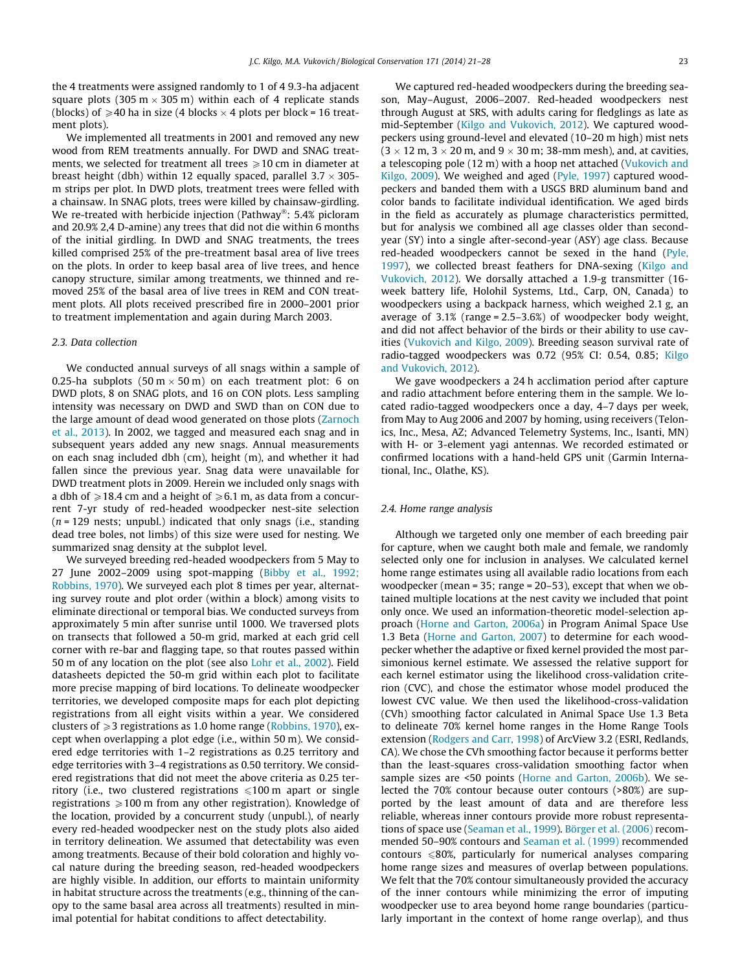the 4 treatments were assigned randomly to 1 of 4 9.3-ha adjacent square plots (305 m  $\times$  305 m) within each of 4 replicate stands (blocks) of  $\geqslant$  40 ha in size (4 blocks  $\times$  4 plots per block = 16 treatment plots).

We implemented all treatments in 2001 and removed any new wood from REM treatments annually. For DWD and SNAG treatments, we selected for treatment all trees  $\geq 10$  cm in diameter at breast height (dbh) within 12 equally spaced, parallel 3.7  $\times$  305m strips per plot. In DWD plots, treatment trees were felled with a chainsaw. In SNAG plots, trees were killed by chainsaw-girdling. We re-treated with herbicide injection (Pathway®: 5.4% picloram and 20.9% 2,4 D-amine) any trees that did not die within 6 months of the initial girdling. In DWD and SNAG treatments, the trees killed comprised 25% of the pre-treatment basal area of live trees on the plots. In order to keep basal area of live trees, and hence canopy structure, similar among treatments, we thinned and removed 25% of the basal area of live trees in REM and CON treatment plots. All plots received prescribed fire in 2000–2001 prior to treatment implementation and again during March 2003.

#### 2.3. Data collection

We conducted annual surveys of all snags within a sample of 0.25-ha subplots (50 m  $\times$  50 m) on each treatment plot: 6 on DWD plots, 8 on SNAG plots, and 16 on CON plots. Less sampling intensity was necessary on DWD and SWD than on CON due to the large amount of dead wood generated on those plots [\(Zarnoch](#page-7-0) [et al., 2013\)](#page-7-0). In 2002, we tagged and measured each snag and in subsequent years added any new snags. Annual measurements on each snag included dbh (cm), height (m), and whether it had fallen since the previous year. Snag data were unavailable for DWD treatment plots in 2009. Herein we included only snags with a dbh of  $\geq 18.4$  cm and a height of  $\geq 6.1$  m, as data from a concurrent 7-yr study of red-headed woodpecker nest-site selection  $(n = 129$  nests; unpubl.) indicated that only snags (i.e., standing dead tree boles, not limbs) of this size were used for nesting. We summarized snag density at the subplot level.

We surveyed breeding red-headed woodpeckers from 5 May to 27 June 2002–2009 using spot-mapping ([Bibby et al., 1992;](#page-7-0) [Robbins, 1970](#page-7-0)). We surveyed each plot 8 times per year, alternating survey route and plot order (within a block) among visits to eliminate directional or temporal bias. We conducted surveys from approximately 5 min after sunrise until 1000. We traversed plots on transects that followed a 50-m grid, marked at each grid cell corner with re-bar and flagging tape, so that routes passed within 50 m of any location on the plot (see also [Lohr et al., 2002\)](#page-7-0). Field datasheets depicted the 50-m grid within each plot to facilitate more precise mapping of bird locations. To delineate woodpecker territories, we developed composite maps for each plot depicting registrations from all eight visits within a year. We considered clusters of  $\geq$  3 registrations as 1.0 home range [\(Robbins, 1970\)](#page-7-0), except when overlapping a plot edge (i.e., within 50 m). We considered edge territories with 1–2 registrations as 0.25 territory and edge territories with 3–4 registrations as 0.50 territory. We considered registrations that did not meet the above criteria as 0.25 territory (i.e., two clustered registrations  $\leq 100$  m apart or single registrations  $\geqslant$  100 m from any other registration). Knowledge of the location, provided by a concurrent study (unpubl.), of nearly every red-headed woodpecker nest on the study plots also aided in territory delineation. We assumed that detectability was even among treatments. Because of their bold coloration and highly vocal nature during the breeding season, red-headed woodpeckers are highly visible. In addition, our efforts to maintain uniformity in habitat structure across the treatments (e.g., thinning of the canopy to the same basal area across all treatments) resulted in minimal potential for habitat conditions to affect detectability.

We captured red-headed woodpeckers during the breeding season, May–August, 2006–2007. Red-headed woodpeckers nest through August at SRS, with adults caring for fledglings as late as mid-September ([Kilgo and Vukovich, 2012\)](#page-7-0). We captured woodpeckers using ground-level and elevated (10–20 m high) mist nets (3  $\times$  12 m, 3  $\times$  20 m, and 9  $\times$  30 m; 38-mm mesh), and, at cavities, a telescoping pole (12 m) with a hoop net attached ([Vukovich and](#page-7-0) [Kilgo, 2009\)](#page-7-0). We weighed and aged [\(Pyle, 1997](#page-7-0)) captured woodpeckers and banded them with a USGS BRD aluminum band and color bands to facilitate individual identification. We aged birds in the field as accurately as plumage characteristics permitted, but for analysis we combined all age classes older than secondyear (SY) into a single after-second-year (ASY) age class. Because red-headed woodpeckers cannot be sexed in the hand ([Pyle,](#page-7-0) [1997\)](#page-7-0), we collected breast feathers for DNA-sexing ([Kilgo and](#page-7-0) [Vukovich, 2012\)](#page-7-0). We dorsally attached a 1.9-g transmitter (16 week battery life, Holohil Systems, Ltd., Carp, ON, Canada) to woodpeckers using a backpack harness, which weighed 2.1 g, an average of 3.1% (range = 2.5–3.6%) of woodpecker body weight, and did not affect behavior of the birds or their ability to use cavities [\(Vukovich and Kilgo, 2009\)](#page-7-0). Breeding season survival rate of radio-tagged woodpeckers was 0.72 (95% CI: 0.54, 0.85; [Kilgo](#page-7-0) [and Vukovich, 2012\)](#page-7-0).

We gave woodpeckers a 24 h acclimation period after capture and radio attachment before entering them in the sample. We located radio-tagged woodpeckers once a day, 4–7 days per week, from May to Aug 2006 and 2007 by homing, using receivers (Telonics, Inc., Mesa, AZ; Advanced Telemetry Systems, Inc., Isanti, MN) with H- or 3-element yagi antennas. We recorded estimated or confirmed locations with a hand-held GPS unit (Garmin International, Inc., Olathe, KS).

#### 2.4. Home range analysis

Although we targeted only one member of each breeding pair for capture, when we caught both male and female, we randomly selected only one for inclusion in analyses. We calculated kernel home range estimates using all available radio locations from each woodpecker (mean = 35; range = 20–53), except that when we obtained multiple locations at the nest cavity we included that point only once. We used an information-theoretic model-selection approach ([Horne and Garton, 2006a\)](#page-7-0) in Program Animal Space Use 1.3 Beta [\(Horne and Garton, 2007\)](#page-7-0) to determine for each woodpecker whether the adaptive or fixed kernel provided the most parsimonious kernel estimate. We assessed the relative support for each kernel estimator using the likelihood cross-validation criterion (CVC), and chose the estimator whose model produced the lowest CVC value. We then used the likelihood-cross-validation (CVh) smoothing factor calculated in Animal Space Use 1.3 Beta to delineate 70% kernel home ranges in the Home Range Tools extension [\(Rodgers and Carr, 1998\)](#page-7-0) of ArcView 3.2 (ESRI, Redlands, CA). We chose the CVh smoothing factor because it performs better than the least-squares cross-validation smoothing factor when sample sizes are <50 points [\(Horne and Garton, 2006b](#page-7-0)). We selected the 70% contour because outer contours (>80%) are supported by the least amount of data and are therefore less reliable, whereas inner contours provide more robust representations of space use [\(Seaman et al., 1999\)](#page-7-0). [Börger et al. \(2006\)](#page-7-0) recommended 50–90% contours and [Seaman et al. \(1999\)](#page-7-0) recommended contours  $\leq 80\%$ , particularly for numerical analyses comparing home range sizes and measures of overlap between populations. We felt that the 70% contour simultaneously provided the accuracy of the inner contours while minimizing the error of imputing woodpecker use to area beyond home range boundaries (particularly important in the context of home range overlap), and thus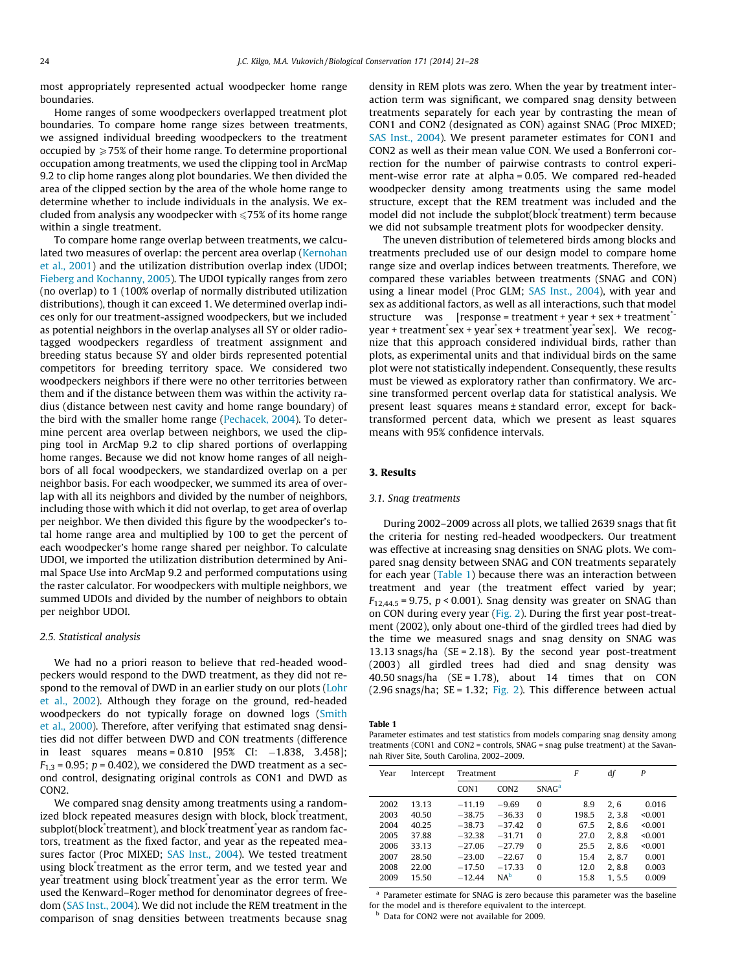most appropriately represented actual woodpecker home range boundaries.

Home ranges of some woodpeckers overlapped treatment plot boundaries. To compare home range sizes between treatments, we assigned individual breeding woodpeckers to the treatment occupied by  $\geq$  75% of their home range. To determine proportional occupation among treatments, we used the clipping tool in ArcMap 9.2 to clip home ranges along plot boundaries. We then divided the area of the clipped section by the area of the whole home range to determine whether to include individuals in the analysis. We excluded from analysis any woodpecker with  $\leq 75\%$  of its home range within a single treatment.

To compare home range overlap between treatments, we calculated two measures of overlap: the percent area overlap [\(Kernohan](#page-7-0) [et al., 2001](#page-7-0)) and the utilization distribution overlap index (UDOI; [Fieberg and Kochanny, 2005](#page-7-0)). The UDOI typically ranges from zero (no overlap) to 1 (100% overlap of normally distributed utilization distributions), though it can exceed 1. We determined overlap indices only for our treatment-assigned woodpeckers, but we included as potential neighbors in the overlap analyses all SY or older radiotagged woodpeckers regardless of treatment assignment and breeding status because SY and older birds represented potential competitors for breeding territory space. We considered two woodpeckers neighbors if there were no other territories between them and if the distance between them was within the activity radius (distance between nest cavity and home range boundary) of the bird with the smaller home range ([Pechacek, 2004](#page-7-0)). To determine percent area overlap between neighbors, we used the clipping tool in ArcMap 9.2 to clip shared portions of overlapping home ranges. Because we did not know home ranges of all neighbors of all focal woodpeckers, we standardized overlap on a per neighbor basis. For each woodpecker, we summed its area of overlap with all its neighbors and divided by the number of neighbors, including those with which it did not overlap, to get area of overlap per neighbor. We then divided this figure by the woodpecker's total home range area and multiplied by 100 to get the percent of each woodpecker's home range shared per neighbor. To calculate UDOI, we imported the utilization distribution determined by Animal Space Use into ArcMap 9.2 and performed computations using the raster calculator. For woodpeckers with multiple neighbors, we summed UDOIs and divided by the number of neighbors to obtain per neighbor UDOI.

#### 2.5. Statistical analysis

We had no a priori reason to believe that red-headed woodpeckers would respond to the DWD treatment, as they did not respond to the removal of DWD in an earlier study on our plots ([Lohr](#page-7-0) [et al., 2002](#page-7-0)). Although they forage on the ground, red-headed woodpeckers do not typically forage on downed logs [\(Smith](#page-7-0) [et al., 2000](#page-7-0)). Therefore, after verifying that estimated snag densities did not differ between DWD and CON treatments (difference in least squares means =  $0.810$  [95% CI:  $-1.838$ , 3.458];  $F_{1,3}$  = 0.95;  $p$  = 0.402), we considered the DWD treatment as a second control, designating original controls as CON1 and DWD as CO<sub>N</sub><sub>2</sub>

We compared snag density among treatments using a randomized block repeated measures design with block, block treatment, subplot(block<sup>\*</sup>treatment), and block<sup>\*</sup>treatment<sup>\*</sup>year as random factors, treatment as the fixed factor, and year as the repeated measures factor (Proc MIXED; [SAS Inst., 2004\)](#page-7-0). We tested treatment using block\* treatment as the error term, and we tested year and year treatment using block treatment year as the error term. We used the Kenward–Roger method for denominator degrees of freedom ([SAS Inst., 2004](#page-7-0)). We did not include the REM treatment in the comparison of snag densities between treatments because snag density in REM plots was zero. When the year by treatment interaction term was significant, we compared snag density between treatments separately for each year by contrasting the mean of CON1 and CON2 (designated as CON) against SNAG (Proc MIXED; [SAS Inst., 2004\)](#page-7-0). We present parameter estimates for CON1 and CON2 as well as their mean value CON. We used a Bonferroni correction for the number of pairwise contrasts to control experiment-wise error rate at alpha = 0.05. We compared red-headed woodpecker density among treatments using the same model structure, except that the REM treatment was included and the model did not include the subplot(block treatment) term because we did not subsample treatment plots for woodpecker density.

The uneven distribution of telemetered birds among blocks and treatments precluded use of our design model to compare home range size and overlap indices between treatments. Therefore, we compared these variables between treatments (SNAG and CON) using a linear model (Proc GLM; [SAS Inst., 2004\)](#page-7-0), with year and sex as additional factors, as well as all interactions, such that model structure was  $[response = treatment + year + sex + treatment^{-1}]$ year + treatment sex + year sex + treatment year sex]. We recognize that this approach considered individual birds, rather than plots, as experimental units and that individual birds on the same plot were not statistically independent. Consequently, these results must be viewed as exploratory rather than confirmatory. We arcsine transformed percent overlap data for statistical analysis. We present least squares means ± standard error, except for backtransformed percent data, which we present as least squares means with 95% confidence intervals.

#### 3. Results

#### 3.1. Snag treatments

During 2002–2009 across all plots, we tallied 2639 snags that fit the criteria for nesting red-headed woodpeckers. Our treatment was effective at increasing snag densities on SNAG plots. We compared snag density between SNAG and CON treatments separately for each year (Table 1) because there was an interaction between treatment and year (the treatment effect varied by year;  $F_{12,44,5}$  = 9.75,  $p < 0.001$ ). Snag density was greater on SNAG than on CON during every year ( $Fig. 2$ ). During the first year post-treatment (2002), only about one-third of the girdled trees had died by the time we measured snags and snag density on SNAG was 13.13 snags/ha  $(SE = 2.18)$ . By the second year post-treatment (2003) all girdled trees had died and snag density was  $40.50$  snags/ha  $(SE = 1.78)$ , about 14 times that on CON (2.96 snags/ha; SE = 1.32; [Fig. 2](#page-4-0)). This difference between actual

Table 1

Parameter estimates and test statistics from models comparing snag density among treatments (CON1 and CON2 = controls, SNAG = snag pulse treatment) at the Savannah River Site, South Carolina, 2002–2009.

| Year | Intercept | Treatment        |                  |                   | F     | df    | P       |
|------|-----------|------------------|------------------|-------------------|-------|-------|---------|
|      |           | CON <sub>1</sub> | CON <sub>2</sub> | SNAG <sup>a</sup> |       |       |         |
| 2002 | 13.13     | $-11.19$         | $-9.69$          | $\Omega$          | 8.9   | 2.6   | 0.016   |
| 2003 | 40.50     | $-38.75$         | $-36.33$         | $\Omega$          | 198.5 | 2.3.8 | < 0.001 |
| 2004 | 40.25     | $-38.73$         | $-37.42$         | $\Omega$          | 67.5  | 2.8.6 | < 0.001 |
| 2005 | 37.88     | $-32.38$         | $-31.71$         | $\Omega$          | 27.0  | 2.8.8 | < 0.001 |
| 2006 | 33.13     | $-27.06$         | $-27.79$         | $\Omega$          | 25.5  | 2.8.6 | < 0.001 |
| 2007 | 28.50     | $-23.00$         | $-22.67$         | $\Omega$          | 15.4  | 2.8.7 | 0.001   |
| 2008 | 22.00     | $-17.50$         | $-17.33$         | $\Omega$          | 12.0  | 2.8.8 | 0.003   |
| 2009 | 15.50     | $-12.44$         | NA <sup>b</sup>  | $\Omega$          | 15.8  | 1.5.5 | 0.009   |

<sup>a</sup> Parameter estimate for SNAG is zero because this parameter was the baseline for the model and is therefore equivalent to the intercept.

**b** Data for CON2 were not available for 2009.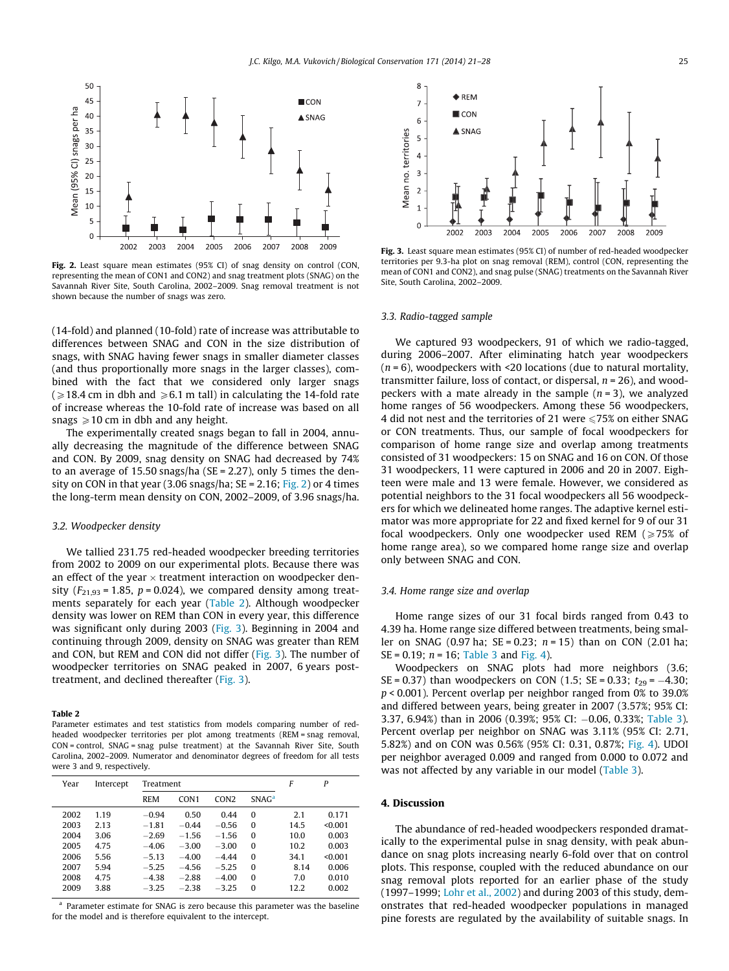<span id="page-4-0"></span>

Fig. 2. Least square mean estimates (95% CI) of snag density on control (CON, representing the mean of CON1 and CON2) and snag treatment plots (SNAG) on the Savannah River Site, South Carolina, 2002–2009. Snag removal treatment is not shown because the number of snags was zero.

(14-fold) and planned (10-fold) rate of increase was attributable to differences between SNAG and CON in the size distribution of snags, with SNAG having fewer snags in smaller diameter classes (and thus proportionally more snags in the larger classes), combined with the fact that we considered only larger snags  $\geq 18.4$  cm in dbh and  $\geq 6.1$  m tall) in calculating the 14-fold rate of increase whereas the 10-fold rate of increase was based on all snags  $\geqslant$  10 cm in dbh and any height.

The experimentally created snags began to fall in 2004, annually decreasing the magnitude of the difference between SNAG and CON. By 2009, snag density on SNAG had decreased by 74% to an average of 15.50 snags/ha ( $SE = 2.27$ ), only 5 times the density on CON in that year (3.06 snags/ha;  $SE = 2.16$ ; Fig. 2) or 4 times the long-term mean density on CON, 2002–2009, of 3.96 snags/ha.

#### 3.2. Woodpecker density

We tallied 231.75 red-headed woodpecker breeding territories from 2002 to 2009 on our experimental plots. Because there was an effect of the year  $\times$  treatment interaction on woodpecker density  $(F_{21,93} = 1.85, p = 0.024)$ , we compared density among treatments separately for each year (Table 2). Although woodpecker density was lower on REM than CON in every year, this difference was significant only during 2003 (Fig. 3). Beginning in 2004 and continuing through 2009, density on SNAG was greater than REM and CON, but REM and CON did not differ (Fig. 3). The number of woodpecker territories on SNAG peaked in 2007, 6 years posttreatment, and declined thereafter (Fig. 3).

#### Table 2

Parameter estimates and test statistics from models comparing number of redheaded woodpecker territories per plot among treatments (REM = snag removal, CON = control, SNAG = snag pulse treatment) at the Savannah River Site, South Carolina, 2002–2009. Numerator and denominator degrees of freedom for all tests were 3 and 9, respectively.

| Year | Intercept | Treatment  |                  |                  |                          | F    | P       |
|------|-----------|------------|------------------|------------------|--------------------------|------|---------|
|      |           | <b>REM</b> | CON <sub>1</sub> | CON <sub>2</sub> | <b>SNAG</b> <sup>a</sup> |      |         |
| 2002 | 1.19      | $-0.94$    | 0.50             | 0.44             | $\Omega$                 | 2.1  | 0.171   |
| 2003 | 2.13      | $-1.81$    | $-0.44$          | $-0.56$          | $\Omega$                 | 14.5 | < 0.001 |
| 2004 | 3.06      | $-2.69$    | $-1.56$          | $-1.56$          | $\Omega$                 | 10.0 | 0.003   |
| 2005 | 4.75      | $-4.06$    | $-3.00$          | $-3.00$          | $\Omega$                 | 10.2 | 0.003   |
| 2006 | 5.56      | $-5.13$    | $-4.00$          | $-4.44$          | $\Omega$                 | 34.1 | < 0.001 |
| 2007 | 5.94      | $-5.25$    | $-4.56$          | $-5.25$          | $\Omega$                 | 8.14 | 0.006   |
| 2008 | 4.75      | $-4.38$    | $-2.88$          | $-4.00$          | $\Omega$                 | 7.0  | 0.010   |
| 2009 | 3.88      | $-3.25$    | $-2.38$          | $-3.25$          | $\Omega$                 | 12.2 | 0.002   |

<sup>a</sup> Parameter estimate for SNAG is zero because this parameter was the baseline for the model and is therefore equivalent to the intercept.



Fig. 3. Least square mean estimates (95% CI) of number of red-headed woodpecker territories per 9.3-ha plot on snag removal (REM), control (CON, representing the mean of CON1 and CON2), and snag pulse (SNAG) treatments on the Savannah River Site, South Carolina, 2002–2009.

#### 3.3. Radio-tagged sample

We captured 93 woodpeckers, 91 of which we radio-tagged, during 2006–2007. After eliminating hatch year woodpeckers  $(n = 6)$ , woodpeckers with <20 locations (due to natural mortality, transmitter failure, loss of contact, or dispersal,  $n = 26$ ), and woodpeckers with a mate already in the sample  $(n = 3)$ , we analyzed home ranges of 56 woodpeckers. Among these 56 woodpeckers, 4 did not nest and the territories of 21 were  $\leq 75\%$  on either SNAG or CON treatments. Thus, our sample of focal woodpeckers for comparison of home range size and overlap among treatments consisted of 31 woodpeckers: 15 on SNAG and 16 on CON. Of those 31 woodpeckers, 11 were captured in 2006 and 20 in 2007. Eighteen were male and 13 were female. However, we considered as potential neighbors to the 31 focal woodpeckers all 56 woodpeckers for which we delineated home ranges. The adaptive kernel estimator was more appropriate for 22 and fixed kernel for 9 of our 31 focal woodpeckers. Only one woodpecker used REM ( $\geq 75\%$  of home range area), so we compared home range size and overlap only between SNAG and CON.

#### 3.4. Home range size and overlap

Home range sizes of our 31 focal birds ranged from 0.43 to 4.39 ha. Home range size differed between treatments, being smaller on SNAG (0.97 ha;  $SE = 0.23$ ;  $n = 15$ ) than on CON (2.01 ha; SE = 0.19;  $n = 16$ ; [Table 3](#page-5-0) and [Fig. 4](#page-5-0)).

Woodpeckers on SNAG plots had more neighbors (3.6; SE = 0.37) than woodpeckers on CON (1.5; SE = 0.33;  $t_{29} = -4.30$ ; p < 0.001). Percent overlap per neighbor ranged from 0% to 39.0% and differed between years, being greater in 2007 (3.57%; 95% CI: 3.37, 6.94%) than in 2006 (0.39%; 95% CI: -0.06, 0.33%; [Table 3\)](#page-5-0). Percent overlap per neighbor on SNAG was 3.11% (95% CI: 2.71, 5.82%) and on CON was 0.56% (95% CI: 0.31, 0.87%; [Fig. 4](#page-5-0)). UDOI per neighbor averaged 0.009 and ranged from 0.000 to 0.072 and was not affected by any variable in our model [\(Table 3\)](#page-5-0).

#### 4. Discussion

The abundance of red-headed woodpeckers responded dramatically to the experimental pulse in snag density, with peak abundance on snag plots increasing nearly 6-fold over that on control plots. This response, coupled with the reduced abundance on our snag removal plots reported for an earlier phase of the study (1997–1999; [Lohr et al., 2002\)](#page-7-0) and during 2003 of this study, demonstrates that red-headed woodpecker populations in managed pine forests are regulated by the availability of suitable snags. In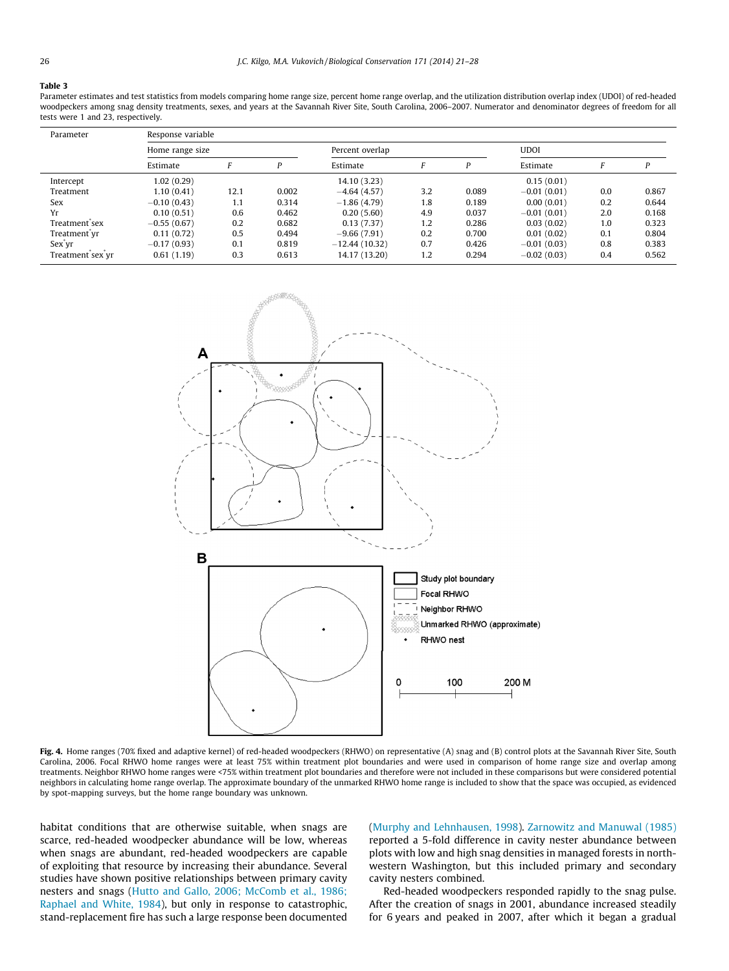#### <span id="page-5-0"></span>Table 3

Parameter estimates and test statistics from models comparing home range size, percent home range overlap, and the utilization distribution overlap index (UDOI) of red-headed woodpeckers among snag density treatments, sexes, and years at the Savannah River Site, South Carolina, 2006–2007. Numerator and denominator degrees of freedom for all tests were 1 and 23, respectively.

| Parameter        | Response variable |      |       |                 |     |       |               |     |       |  |
|------------------|-------------------|------|-------|-----------------|-----|-------|---------------|-----|-------|--|
|                  | Home range size   |      |       | Percent overlap |     |       | <b>UDOI</b>   |     |       |  |
|                  | Estimate          |      |       | Estimate        |     |       | Estimate      |     |       |  |
| Intercept        | 1.02 (0.29)       |      |       | 14.10 (3.23)    |     |       | 0.15(0.01)    |     |       |  |
| Treatment        | 1.10 (0.41)       | 12.1 | 0.002 | $-4.64(4.57)$   | 3.2 | 0.089 | $-0.01(0.01)$ | 0.0 | 0.867 |  |
| Sex              | $-0.10(0.43)$     | 1.1  | 0.314 | $-1.86(4.79)$   | 1.8 | 0.189 | 0.00(0.01)    | 0.2 | 0.644 |  |
| Yr               | 0.10(0.51)        | 0.6  | 0.462 | 0.20(5.60)      | 4.9 | 0.037 | $-0.01(0.01)$ | 2.0 | 0.168 |  |
| Treatment sex    | $-0.55(0.67)$     | 0.2  | 0.682 | 0.13(7.37)      | 1.2 | 0.286 | 0.03(0.02)    | 1.0 | 0.323 |  |
| Treatment vr     | 0.11(0.72)        | 0.5  | 0.494 | $-9.66(7.91)$   | 0.2 | 0.700 | 0.01(0.02)    | 0.1 | 0.804 |  |
| Sex vr           | $-0.17(0.93)$     | 0.1  | 0.819 | $-12.44(10.32)$ | 0.7 | 0.426 | $-0.01(0.03)$ | 0.8 | 0.383 |  |
| Treatment sex yr | 0.61(1.19)        | 0.3  | 0.613 | 14.17 (13.20)   | 1.2 | 0.294 | $-0.02(0.03)$ | 0.4 | 0.562 |  |



Fig. 4. Home ranges (70% fixed and adaptive kernel) of red-headed woodpeckers (RHWO) on representative (A) snag and (B) control plots at the Savannah River Site, South Carolina, 2006. Focal RHWO home ranges were at least 75% within treatment plot boundaries and were used in comparison of home range size and overlap among treatments. Neighbor RHWO home ranges were <75% within treatment plot boundaries and therefore were not included in these comparisons but were considered potential neighbors in calculating home range overlap. The approximate boundary of the unmarked RHWO home range is included to show that the space was occupied, as evidenced by spot-mapping surveys, but the home range boundary was unknown.

habitat conditions that are otherwise suitable, when snags are scarce, red-headed woodpecker abundance will be low, whereas when snags are abundant, red-headed woodpeckers are capable of exploiting that resource by increasing their abundance. Several studies have shown positive relationships between primary cavity nesters and snags ([Hutto and Gallo, 2006; McComb et al., 1986;](#page-7-0) [Raphael and White, 1984\)](#page-7-0), but only in response to catastrophic, stand-replacement fire has such a large response been documented ([Murphy and Lehnhausen, 1998\)](#page-7-0). [Zarnowitz and Manuwal \(1985\)](#page-7-0) reported a 5-fold difference in cavity nester abundance between plots with low and high snag densities in managed forests in northwestern Washington, but this included primary and secondary cavity nesters combined.

Red-headed woodpeckers responded rapidly to the snag pulse. After the creation of snags in 2001, abundance increased steadily for 6 years and peaked in 2007, after which it began a gradual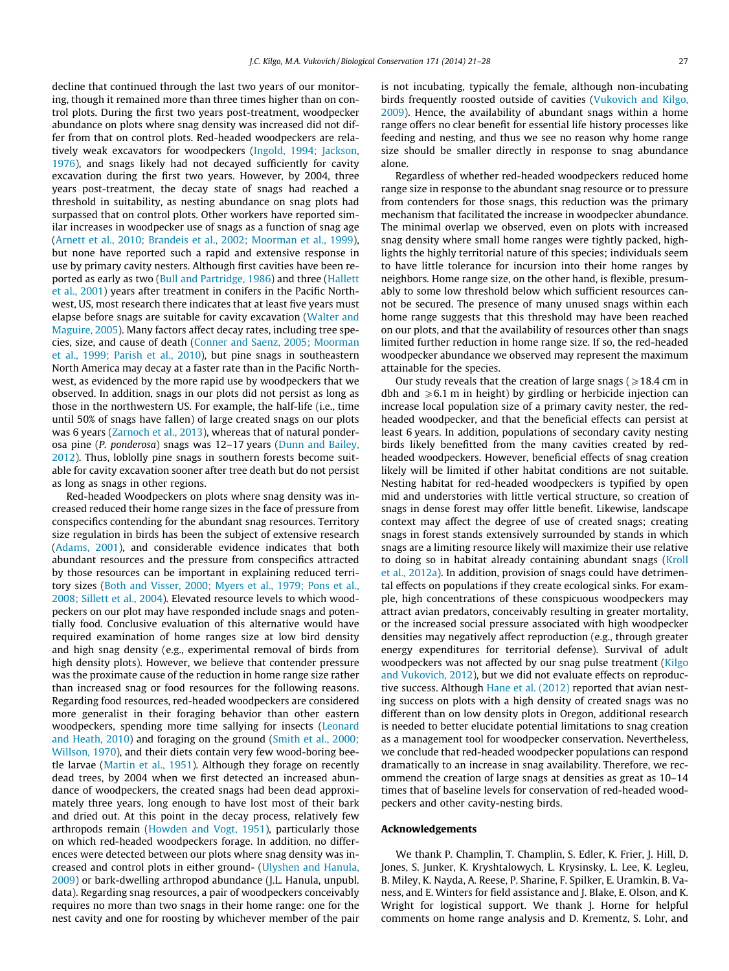decline that continued through the last two years of our monitoring, though it remained more than three times higher than on control plots. During the first two years post-treatment, woodpecker abundance on plots where snag density was increased did not differ from that on control plots. Red-headed woodpeckers are relatively weak excavators for woodpeckers ([Ingold, 1994; Jackson,](#page-7-0) [1976\)](#page-7-0), and snags likely had not decayed sufficiently for cavity excavation during the first two years. However, by 2004, three years post-treatment, the decay state of snags had reached a threshold in suitability, as nesting abundance on snag plots had surpassed that on control plots. Other workers have reported similar increases in woodpecker use of snags as a function of snag age ([Arnett et al., 2010; Brandeis et al., 2002; Moorman et al., 1999\)](#page-7-0), but none have reported such a rapid and extensive response in use by primary cavity nesters. Although first cavities have been reported as early as two ([Bull and Partridge, 1986](#page-7-0)) and three ([Hallett](#page-7-0) [et al., 2001\)](#page-7-0) years after treatment in conifers in the Pacific Northwest, US, most research there indicates that at least five years must elapse before snags are suitable for cavity excavation [\(Walter and](#page-7-0) [Maguire, 2005\)](#page-7-0). Many factors affect decay rates, including tree species, size, and cause of death ([Conner and Saenz, 2005; Moorman](#page-7-0) [et al., 1999; Parish et al., 2010](#page-7-0)), but pine snags in southeastern North America may decay at a faster rate than in the Pacific Northwest, as evidenced by the more rapid use by woodpeckers that we observed. In addition, snags in our plots did not persist as long as those in the northwestern US. For example, the half-life (i.e., time until 50% of snags have fallen) of large created snags on our plots was 6 years ([Zarnoch et al., 2013\)](#page-7-0), whereas that of natural ponderosa pine (P. ponderosa) snags was 12–17 years ([Dunn and Bailey,](#page-7-0) [2012\)](#page-7-0). Thus, loblolly pine snags in southern forests become suitable for cavity excavation sooner after tree death but do not persist as long as snags in other regions.

Red-headed Woodpeckers on plots where snag density was increased reduced their home range sizes in the face of pressure from conspecifics contending for the abundant snag resources. Territory size regulation in birds has been the subject of extensive research ([Adams, 2001](#page-7-0)), and considerable evidence indicates that both abundant resources and the pressure from conspecifics attracted by those resources can be important in explaining reduced territory sizes [\(Both and Visser, 2000; Myers et al., 1979; Pons et al.,](#page-7-0) [2008; Sillett et al., 2004\)](#page-7-0). Elevated resource levels to which woodpeckers on our plot may have responded include snags and potentially food. Conclusive evaluation of this alternative would have required examination of home ranges size at low bird density and high snag density (e.g., experimental removal of birds from high density plots). However, we believe that contender pressure was the proximate cause of the reduction in home range size rather than increased snag or food resources for the following reasons. Regarding food resources, red-headed woodpeckers are considered more generalist in their foraging behavior than other eastern woodpeckers, spending more time sallying for insects [\(Leonard](#page-7-0) [and Heath, 2010\)](#page-7-0) and foraging on the ground [\(Smith et al., 2000;](#page-7-0) [Willson, 1970\)](#page-7-0), and their diets contain very few wood-boring beetle larvae ([Martin et al., 1951](#page-7-0)). Although they forage on recently dead trees, by 2004 when we first detected an increased abundance of woodpeckers, the created snags had been dead approximately three years, long enough to have lost most of their bark and dried out. At this point in the decay process, relatively few arthropods remain [\(Howden and Vogt, 1951\)](#page-7-0), particularly those on which red-headed woodpeckers forage. In addition, no differences were detected between our plots where snag density was increased and control plots in either ground- [\(Ulyshen and Hanula,](#page-7-0) [2009](#page-7-0)) or bark-dwelling arthropod abundance (J.L. Hanula, unpubl. data). Regarding snag resources, a pair of woodpeckers conceivably requires no more than two snags in their home range: one for the nest cavity and one for roosting by whichever member of the pair is not incubating, typically the female, although non-incubating birds frequently roosted outside of cavities [\(Vukovich and Kilgo,](#page-7-0) [2009](#page-7-0)). Hence, the availability of abundant snags within a home range offers no clear benefit for essential life history processes like feeding and nesting, and thus we see no reason why home range size should be smaller directly in response to snag abundance alone.

Regardless of whether red-headed woodpeckers reduced home range size in response to the abundant snag resource or to pressure from contenders for those snags, this reduction was the primary mechanism that facilitated the increase in woodpecker abundance. The minimal overlap we observed, even on plots with increased snag density where small home ranges were tightly packed, highlights the highly territorial nature of this species; individuals seem to have little tolerance for incursion into their home ranges by neighbors. Home range size, on the other hand, is flexible, presumably to some low threshold below which sufficient resources cannot be secured. The presence of many unused snags within each home range suggests that this threshold may have been reached on our plots, and that the availability of resources other than snags limited further reduction in home range size. If so, the red-headed woodpecker abundance we observed may represent the maximum attainable for the species.

Our study reveals that the creation of large snags ( $\geq 18.4$  cm in dbh and  $\geq 6.1$  m in height) by girdling or herbicide injection can increase local population size of a primary cavity nester, the redheaded woodpecker, and that the beneficial effects can persist at least 6 years. In addition, populations of secondary cavity nesting birds likely benefitted from the many cavities created by redheaded woodpeckers. However, beneficial effects of snag creation likely will be limited if other habitat conditions are not suitable. Nesting habitat for red-headed woodpeckers is typified by open mid and understories with little vertical structure, so creation of snags in dense forest may offer little benefit. Likewise, landscape context may affect the degree of use of created snags; creating snags in forest stands extensively surrounded by stands in which snags are a limiting resource likely will maximize their use relative to doing so in habitat already containing abundant snags [\(Kroll](#page-7-0) [et al., 2012a](#page-7-0)). In addition, provision of snags could have detrimental effects on populations if they create ecological sinks. For example, high concentrations of these conspicuous woodpeckers may attract avian predators, conceivably resulting in greater mortality, or the increased social pressure associated with high woodpecker densities may negatively affect reproduction (e.g., through greater energy expenditures for territorial defense). Survival of adult woodpeckers was not affected by our snag pulse treatment [\(Kilgo](#page-7-0) [and Vukovich, 2012](#page-7-0)), but we did not evaluate effects on reproductive success. Although [Hane et al. \(2012\)](#page-7-0) reported that avian nesting success on plots with a high density of created snags was no different than on low density plots in Oregon, additional research is needed to better elucidate potential limitations to snag creation as a management tool for woodpecker conservation. Nevertheless, we conclude that red-headed woodpecker populations can respond dramatically to an increase in snag availability. Therefore, we recommend the creation of large snags at densities as great as 10–14 times that of baseline levels for conservation of red-headed woodpeckers and other cavity-nesting birds.

#### Acknowledgements

We thank P. Champlin, T. Champlin, S. Edler, K. Frier, J. Hill, D. Jones, S. Junker, K. Kryshtalowych, L. Krysinsky, L. Lee, K. Legleu, B. Miley, K. Nayda, A. Reese, P. Sharine, F. Spilker, E. Uramkin, B. Vaness, and E. Winters for field assistance and J. Blake, E. Olson, and K. Wright for logistical support. We thank J. Horne for helpful comments on home range analysis and D. Krementz, S. Lohr, and